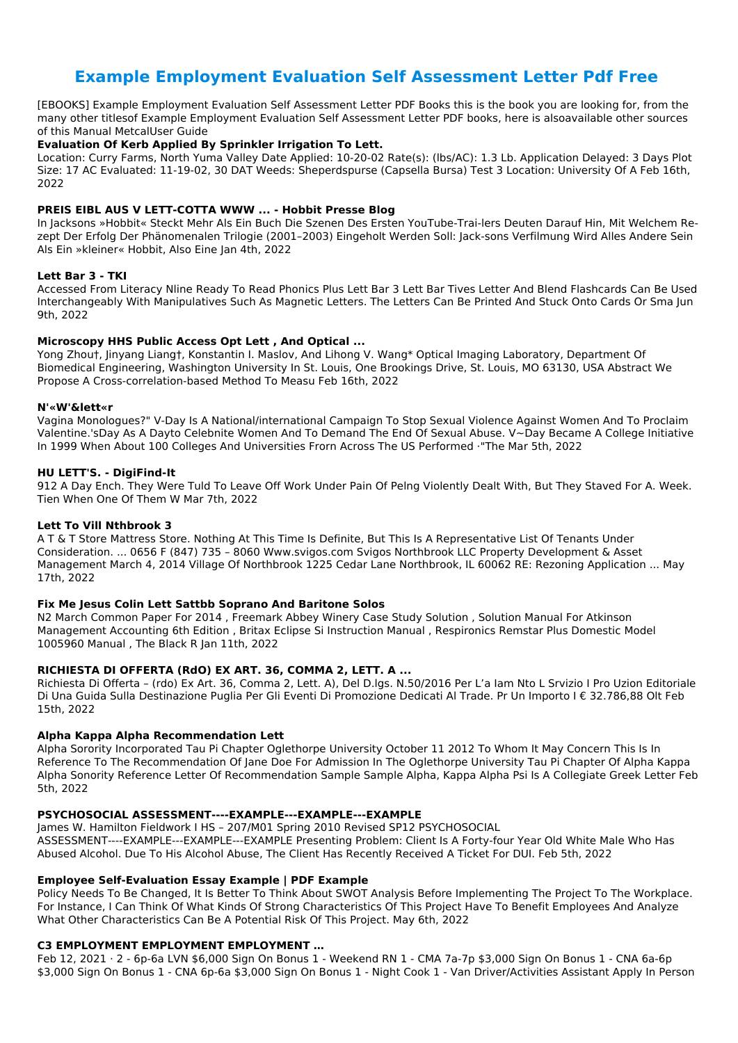# **Example Employment Evaluation Self Assessment Letter Pdf Free**

[EBOOKS] Example Employment Evaluation Self Assessment Letter PDF Books this is the book you are looking for, from the many other titlesof Example Employment Evaluation Self Assessment Letter PDF books, here is alsoavailable other sources of this Manual MetcalUser Guide

## **Evaluation Of Kerb Applied By Sprinkler Irrigation To Lett.**

Location: Curry Farms, North Yuma Valley Date Applied: 10-20-02 Rate(s): (lbs/AC): 1.3 Lb. Application Delayed: 3 Days Plot Size: 17 AC Evaluated: 11-19-02, 30 DAT Weeds: Sheperdspurse (Capsella Bursa) Test 3 Location: University Of A Feb 16th, 2022

## **PREIS EIBL AUS V LETT-COTTA WWW ... - Hobbit Presse Blog**

In Jacksons »Hobbit« Steckt Mehr Als Ein Buch Die Szenen Des Ersten YouTube-Trai-lers Deuten Darauf Hin, Mit Welchem Rezept Der Erfolg Der Phänomenalen Trilogie (2001–2003) Eingeholt Werden Soll: Jack-sons Verfilmung Wird Alles Andere Sein Als Ein »kleiner« Hobbit, Also Eine Jan 4th, 2022

## **Lett Bar 3 - TKI**

Accessed From Literacy Nline Ready To Read Phonics Plus Lett Bar 3 Lett Bar Tives Letter And Blend Flashcards Can Be Used Interchangeably With Manipulatives Such As Magnetic Letters. The Letters Can Be Printed And Stuck Onto Cards Or Sma Jun 9th, 2022

## **Microscopy HHS Public Access Opt Lett , And Optical ...**

Yong Zhou†, Jinyang Liang†, Konstantin I. Maslov, And Lihong V. Wang\* Optical Imaging Laboratory, Department Of Biomedical Engineering, Washington University In St. Louis, One Brookings Drive, St. Louis, MO 63130, USA Abstract We Propose A Cross-correlation-based Method To Measu Feb 16th, 2022

### **N'«W'&lett«r**

Vagina Monologues?" V-Day Is A National/international Campaign To Stop Sexual Violence Against Women And To Proclaim Valentine.'sDay As A Dayto Celebnite Women And To Demand The End Of Sexual Abuse. V~Day Became A College Initiative In 1999 When About 100 Colleges And Universities Frorn Across The US Performed ·"The Mar 5th, 2022

### **HU LETT'S. - DigiFind-It**

912 A Day Ench. They Were Tuld To Leave Off Work Under Pain Of Pelng Violently Dealt With, But They Staved For A. Week. Tien When One Of Them W Mar 7th, 2022

### **Lett To Vill Nthbrook 3**

A T & T Store Mattress Store. Nothing At This Time Is Definite, But This Is A Representative List Of Tenants Under Consideration. ... 0656 F (847) 735 – 8060 Www.svigos.com Svigos Northbrook LLC Property Development & Asset Management March 4, 2014 Village Of Northbrook 1225 Cedar Lane Northbrook, IL 60062 RE: Rezoning Application ... May 17th, 2022

### **Fix Me Jesus Colin Lett Sattbb Soprano And Baritone Solos**

N2 March Common Paper For 2014 , Freemark Abbey Winery Case Study Solution , Solution Manual For Atkinson Management Accounting 6th Edition , Britax Eclipse Si Instruction Manual , Respironics Remstar Plus Domestic Model 1005960 Manual , The Black R Jan 11th, 2022

### **RICHIESTA DI OFFERTA (RdO) EX ART. 36, COMMA 2, LETT. A ...**

Richiesta Di Offerta – (rdo) Ex Art. 36, Comma 2, Lett. A), Del D.lgs. N.50/2016 Per L'a Iam Nto L Srvizio I Pro Uzion Editoriale Di Una Guida Sulla Destinazione Puglia Per Gli Eventi Di Promozione Dedicati Al Trade. Pr Un Importo I € 32.786,88 Olt Feb 15th, 2022

### **Alpha Kappa Alpha Recommendation Lett**

Alpha Sorority Incorporated Tau Pi Chapter Oglethorpe University October 11 2012 To Whom It May Concern This Is In Reference To The Recommendation Of Jane Doe For Admission In The Oglethorpe University Tau Pi Chapter Of Alpha Kappa Alpha Sonority Reference Letter Of Recommendation Sample Sample Alpha, Kappa Alpha Psi Is A Collegiate Greek Letter Feb 5th, 2022

#### **PSYCHOSOCIAL ASSESSMENT----EXAMPLE---EXAMPLE---EXAMPLE**

James W. Hamilton Fieldwork I HS – 207/M01 Spring 2010 Revised SP12 PSYCHOSOCIAL ASSESSMENT----EXAMPLE---EXAMPLE---EXAMPLE Presenting Problem: Client Is A Forty-four Year Old White Male Who Has Abused Alcohol. Due To His Alcohol Abuse, The Client Has Recently Received A Ticket For DUI. Feb 5th, 2022

## **Employee Self-Evaluation Essay Example | PDF Example**

Policy Needs To Be Changed, It Is Better To Think About SWOT Analysis Before Implementing The Project To The Workplace. For Instance, I Can Think Of What Kinds Of Strong Characteristics Of This Project Have To Benefit Employees And Analyze What Other Characteristics Can Be A Potential Risk Of This Project. May 6th, 2022

## **C3 EMPLOYMENT EMPLOYMENT EMPLOYMENT …**

Feb 12, 2021 · 2 - 6p-6a LVN \$6,000 Sign On Bonus 1 - Weekend RN 1 - CMA 7a-7p \$3,000 Sign On Bonus 1 - CNA 6a-6p \$3,000 Sign On Bonus 1 - CNA 6p-6a \$3,000 Sign On Bonus 1 - Night Cook 1 - Van Driver/Activities Assistant Apply In Person